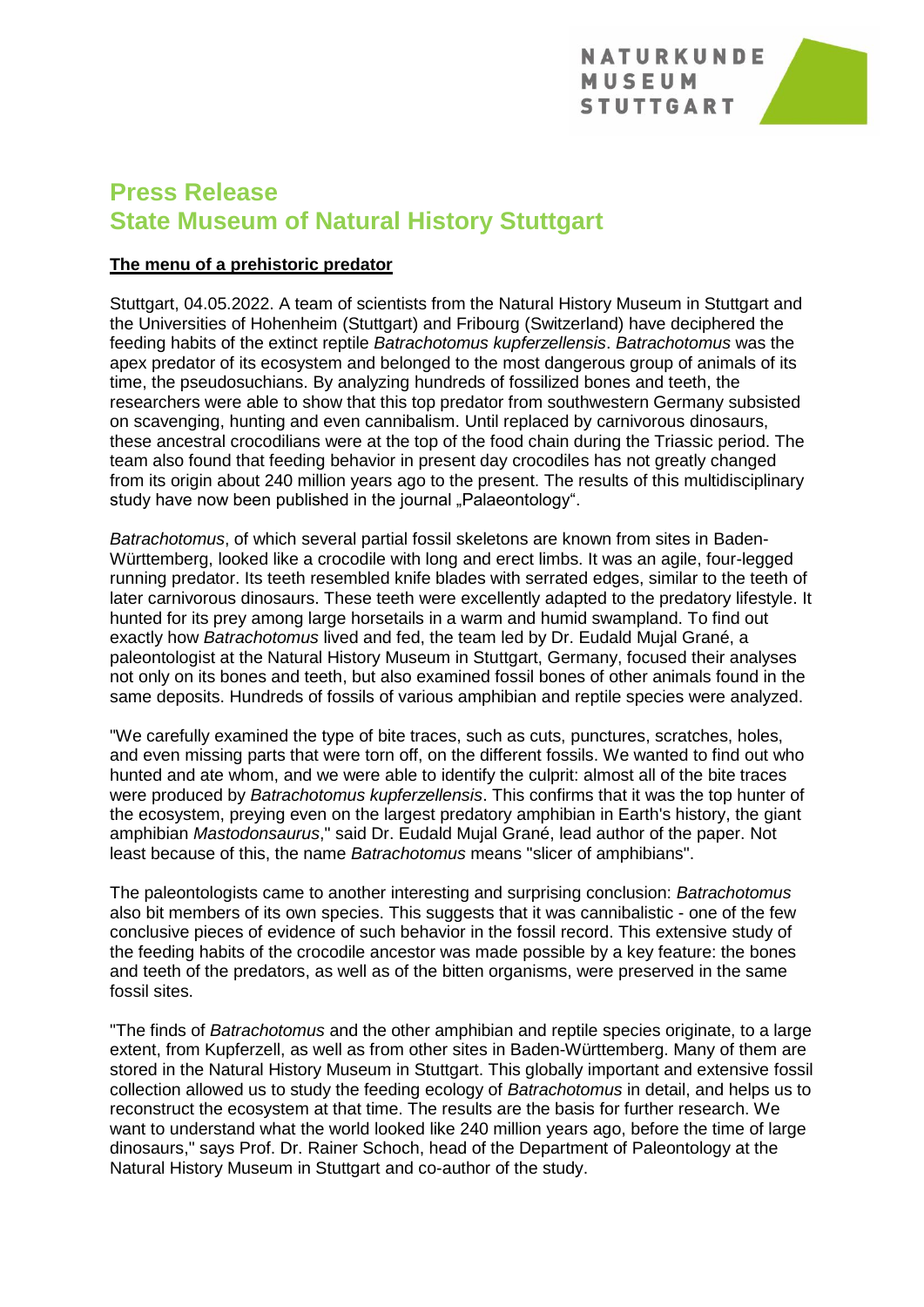

# **Press Release State Museum of Natural History Stuttgart**

# **The menu of a prehistoric predator**

Stuttgart, 04.05.2022. A team of scientists from the Natural History Museum in Stuttgart and the Universities of Hohenheim (Stuttgart) and Fribourg (Switzerland) have deciphered the feeding habits of the extinct reptile *Batrachotomus kupferzellensis*. *Batrachotomus* was the apex predator of its ecosystem and belonged to the most dangerous group of animals of its time, the pseudosuchians. By analyzing hundreds of fossilized bones and teeth, the researchers were able to show that this top predator from southwestern Germany subsisted on scavenging, hunting and even cannibalism. Until replaced by carnivorous dinosaurs, these ancestral crocodilians were at the top of the food chain during the Triassic period. The team also found that feeding behavior in present day crocodiles has not greatly changed from its origin about 240 million years ago to the present. The results of this multidisciplinary study have now been published in the journal "Palaeontology".

*Batrachotomus*, of which several partial fossil skeletons are known from sites in Baden-Württemberg, looked like a crocodile with long and erect limbs. It was an agile, four-legged running predator. Its teeth resembled knife blades with serrated edges, similar to the teeth of later carnivorous dinosaurs. These teeth were excellently adapted to the predatory lifestyle. It hunted for its prey among large horsetails in a warm and humid swampland. To find out exactly how *Batrachotomus* lived and fed, the team led by Dr. Eudald Mujal Grané, a paleontologist at the Natural History Museum in Stuttgart, Germany, focused their analyses not only on its bones and teeth, but also examined fossil bones of other animals found in the same deposits. Hundreds of fossils of various amphibian and reptile species were analyzed.

"We carefully examined the type of bite traces, such as cuts, punctures, scratches, holes, and even missing parts that were torn off, on the different fossils. We wanted to find out who hunted and ate whom, and we were able to identify the culprit: almost all of the bite traces were produced by *Batrachotomus kupferzellensis*. This confirms that it was the top hunter of the ecosystem, preying even on the largest predatory amphibian in Earth's history, the giant amphibian *Mastodonsaurus*," said Dr. Eudald Mujal Grané, lead author of the paper. Not least because of this, the name *Batrachotomus* means "slicer of amphibians".

The paleontologists came to another interesting and surprising conclusion: *Batrachotomus* also bit members of its own species. This suggests that it was cannibalistic - one of the few conclusive pieces of evidence of such behavior in the fossil record. This extensive study of the feeding habits of the crocodile ancestor was made possible by a key feature: the bones and teeth of the predators, as well as of the bitten organisms, were preserved in the same fossil sites.

"The finds of *Batrachotomus* and the other amphibian and reptile species originate, to a large extent, from Kupferzell, as well as from other sites in Baden-Württemberg. Many of them are stored in the Natural History Museum in Stuttgart. This globally important and extensive fossil collection allowed us to study the feeding ecology of *Batrachotomus* in detail, and helps us to reconstruct the ecosystem at that time. The results are the basis for further research. We want to understand what the world looked like 240 million years ago, before the time of large dinosaurs," says Prof. Dr. Rainer Schoch, head of the Department of Paleontology at the Natural History Museum in Stuttgart and co-author of the study.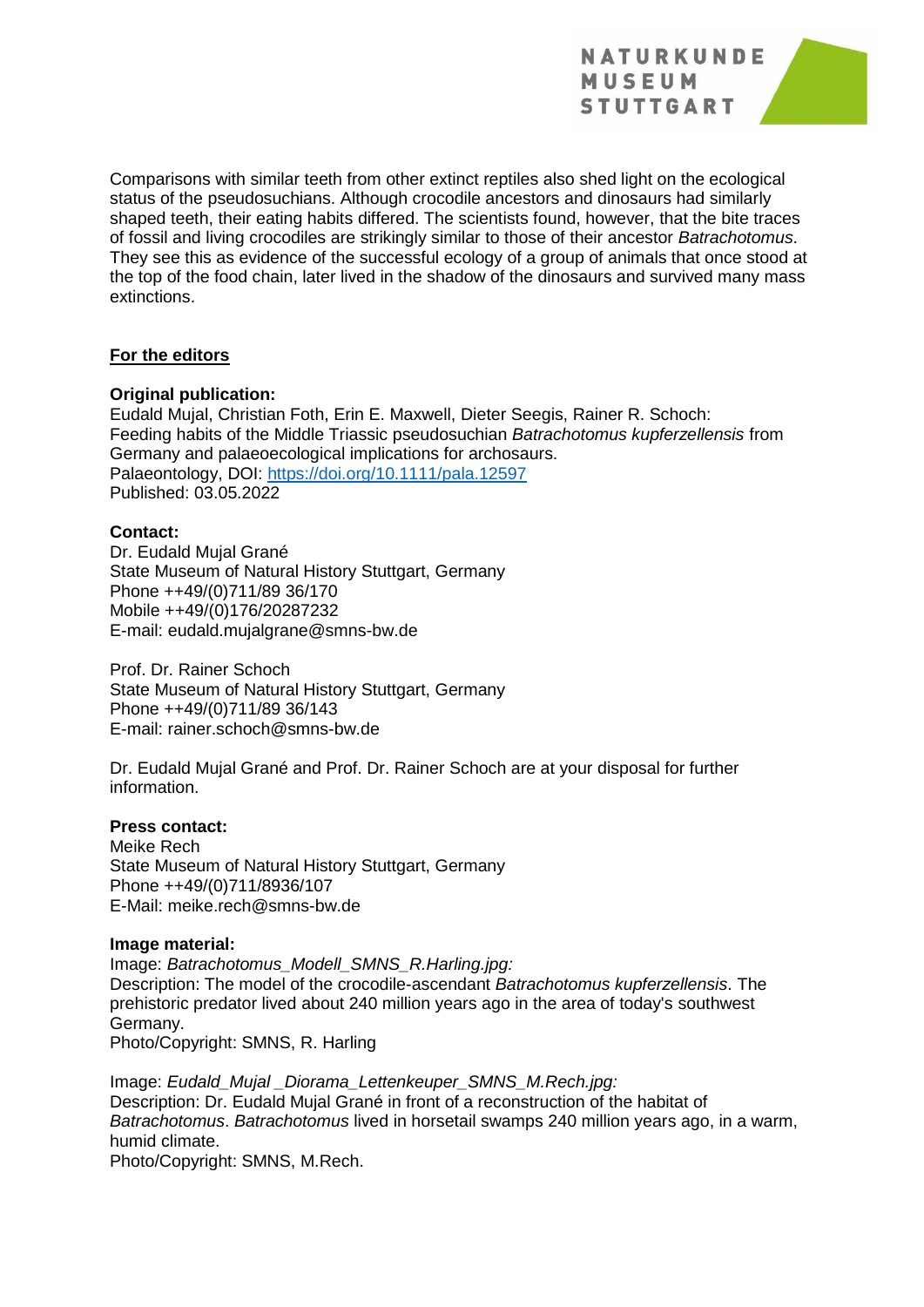**NATURKUNDE** MUSEUM **STUTTGART** 



Comparisons with similar teeth from other extinct reptiles also shed light on the ecological status of the pseudosuchians. Although crocodile ancestors and dinosaurs had similarly shaped teeth, their eating habits differed. The scientists found, however, that the bite traces of fossil and living crocodiles are strikingly similar to those of their ancestor *Batrachotomus*. They see this as evidence of the successful ecology of a group of animals that once stood at the top of the food chain, later lived in the shadow of the dinosaurs and survived many mass extinctions.

## **For the editors**

#### **Original publication:**

Eudald Mujal, Christian Foth, Erin E. Maxwell, Dieter Seegis, Rainer R. Schoch: Feeding habits of the Middle Triassic pseudosuchian *Batrachotomus kupferzellensis* from Germany and palaeoecological implications for archosaurs. Palaeontology, DOI:<https://doi.org/10.1111/pala.12597> Published: 03.05.2022

#### **Contact:**

Dr. Eudald Mujal Grané State Museum of Natural History Stuttgart, Germany Phone ++49/(0)711/89 36/170 Mobile ++49/(0)176/20287232 E-mail: eudald.mujalgrane@smns-bw.de

Prof. Dr. Rainer Schoch State Museum of Natural History Stuttgart, Germany Phone ++49/(0)711/89 36/143 E-mail: rainer.schoch@smns-bw.de

Dr. Eudald Mujal Grané and Prof. Dr. Rainer Schoch are at your disposal for further information.

### **Press contact:**

Meike Rech State Museum of Natural History Stuttgart, Germany Phone ++49/(0)711/8936/107 E-Mail: meike.rech@smns-bw.de

#### **Image material:**

Image: *Batrachotomus\_Modell\_SMNS\_R.Harling.jpg:* Description: The model of the crocodile-ascendant *Batrachotomus kupferzellensis*. The prehistoric predator lived about 240 million years ago in the area of today's southwest Germany. Photo/Copyright: SMNS, R. Harling

Image: *Eudald\_Mujal \_Diorama\_Lettenkeuper\_SMNS\_M.Rech.jpg:* Description: Dr. Eudald Mujal Grané in front of a reconstruction of the habitat of *Batrachotomus*. *Batrachotomus* lived in horsetail swamps 240 million years ago, in a warm, humid climate.

Photo/Copyright: SMNS, M.Rech.